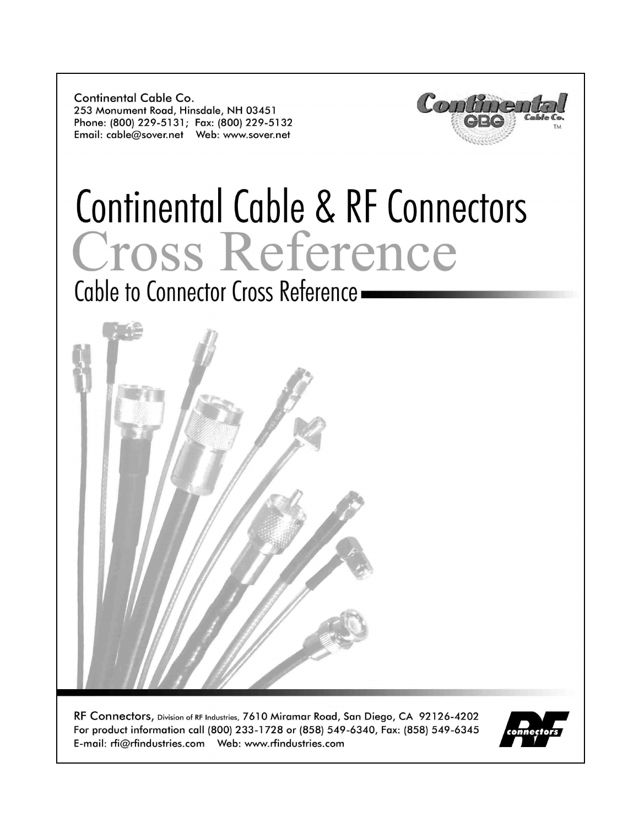Continental Cable Co. 253 Monument Road, Hinsdale, NH 03451 Phone: (800) 229-5131; Fax: (800) 229-5132 



# Continental Cable & RF Connectors Cross Reference

Cable to Connector Cross Reference -



RF Connectors, Division of RF Industries, 7610 Miramar Road, San Diego, CA 92126-4202 For product information call (800) 233-1728 or (858) 549-6340, Fax: (858) 549-6345 

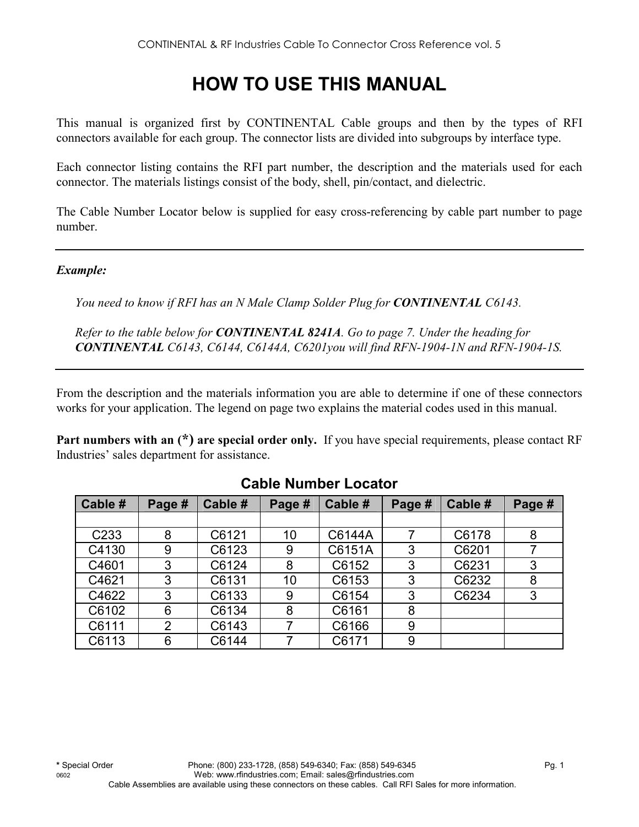# **HOW TO USE THIS MANUAL**

This manual is organized first by CONTINENTAL Cable groups and then by the types of RFI connectors available for each group. The connector lists are divided into subgroups by interface type.

Each connector listing contains the RFI part number, the description and the materials used for each connector. The materials listings consist of the body, shell, pin/contact, and dielectric.

The Cable Number Locator below is supplied for easy cross-referencing by cable part number to page number.

#### *Example:*

*You need to know if RFI has an N Male Clamp Solder Plug for CONTINENTAL C6143.* 

*Refer to the table below for CONTINENTAL 8241A. Go to page 7. Under the heading for CONTINENTAL C6143, C6144, C6144A, C6201you will find RFN-1904-1N and RFN-1904-1S.* 

From the description and the materials information you are able to determine if one of these connectors works for your application. The legend on page two explains the material codes used in this manual.

**Part numbers with an (\*) are special order only.** If you have special requirements, please contact RF Industries' sales department for assistance.

| Cable #          | Page #         | Cable # | Page # | Cable # | Page # | Cable # | Page # |
|------------------|----------------|---------|--------|---------|--------|---------|--------|
|                  |                |         |        |         |        |         |        |
| C <sub>233</sub> | 8              | C6121   | 10     | C6144A  |        | C6178   | 8      |
| C4130            | 9              | C6123   | 9      | C6151A  | 3      | C6201   |        |
| C4601            | 3              | C6124   | 8      | C6152   | 3      | C6231   | 3      |
| C4621            | 3              | C6131   | 10     | C6153   | 3      | C6232   | 8      |
| C4622            | 3              | C6133   | 9      | C6154   | 3      | C6234   | 3      |
| C6102            | 6              | C6134   | 8      | C6161   | 8      |         |        |
| C6111            | $\overline{2}$ | C6143   |        | C6166   | 9      |         |        |
| C6113            | 6              | C6144   |        | C6171   | 9      |         |        |

#### **Cable Number Locator**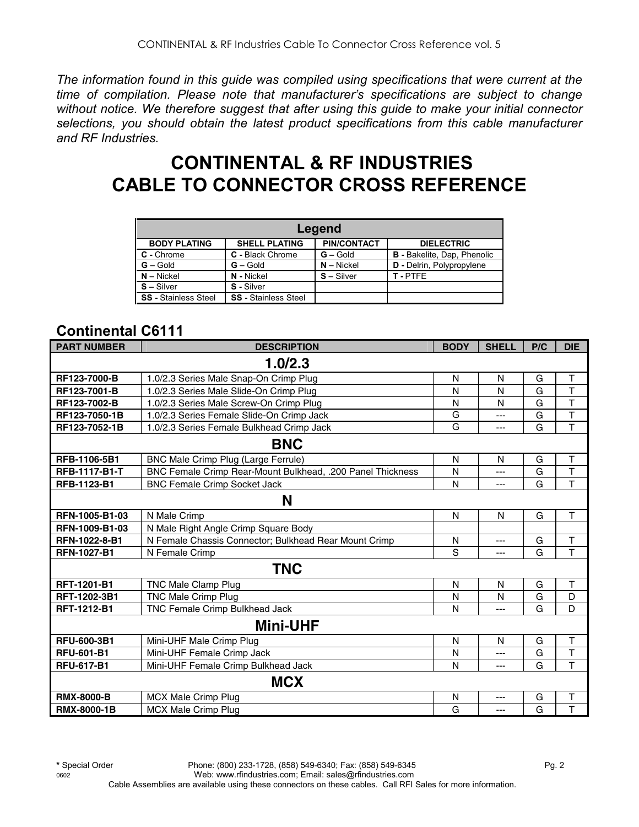*The information found in this guide was compiled using specifications that were current at the time of compilation. Please note that manufacturer's specifications are subject to change without notice. We therefore suggest that after using this guide to make your initial connector selections, you should obtain the latest product specifications from this cable manufacturer and RF Industries.*

# **CONTINENTAL & RF INDUSTRIES CABLE TO CONNECTOR CROSS REFERENCE**

| Legend                      |                             |                    |                                    |  |  |  |  |  |
|-----------------------------|-----------------------------|--------------------|------------------------------------|--|--|--|--|--|
| <b>BODY PLATING</b>         | <b>SHELL PLATING</b>        | <b>PIN/CONTACT</b> | <b>DIELECTRIC</b>                  |  |  |  |  |  |
| C - Chrome                  | C - Black Chrome            | $G -$ Gold         | <b>B</b> - Bakelite, Dap, Phenolic |  |  |  |  |  |
| $G - Gold$                  | $G - Gold$                  | $N - Nickel$       | D - Delrin, Polypropylene          |  |  |  |  |  |
| $N - Nickel$                | N - Nickel                  | $S -$ Silver       | T-PTFF                             |  |  |  |  |  |
| $S - S$ ilver               | S - Silver                  |                    |                                    |  |  |  |  |  |
| <b>SS</b> - Stainless Steel | <b>SS</b> - Stainless Steel |                    |                                    |  |  |  |  |  |

#### **Continental C6111**

| <b>PART NUMBER</b>   | <b>DESCRIPTION</b>                                         | <b>BODY</b>  | <b>SHELL</b>   | P/C | <b>DIE</b>              |
|----------------------|------------------------------------------------------------|--------------|----------------|-----|-------------------------|
|                      | 1.0/2.3                                                    |              |                |     |                         |
| RF123-7000-B         | 1.0/2.3 Series Male Snap-On Crimp Plug                     | N            | N              | G   | Т                       |
| RF123-7001-B         | 1.0/2.3 Series Male Slide-On Crimp Plug                    | N            | N              | G   | $\mathsf T$             |
| RF123-7002-B         | 1.0/2.3 Series Male Screw-On Crimp Plug                    | N            | N              | G   | T                       |
| RF123-7050-1B        | 1.0/2.3 Series Female Slide-On Crimp Jack                  | G            | ---            | G   | T                       |
| RF123-7052-1B        | 1.0/2.3 Series Female Bulkhead Crimp Jack                  | G            | $\overline{a}$ | G   | T                       |
|                      | <b>BNC</b>                                                 |              |                |     |                         |
| RFB-1106-5B1         | BNC Male Crimp Plug (Large Ferrule)                        | $\mathsf{N}$ | N              | G   | T                       |
| <b>RFB-1117-B1-T</b> | BNC Female Crimp Rear-Mount Bulkhead, .200 Panel Thickness | N            | ---            | G   | $\top$                  |
| RFB-1123-B1          | <b>BNC Female Crimp Socket Jack</b>                        | N            | ---            | G   | $\overline{\mathsf{T}}$ |
|                      | N                                                          |              |                |     |                         |
| RFN-1005-B1-03       | N Male Crimp                                               | N            | N              | G   | Τ                       |
| RFN-1009-B1-03       | N Male Right Angle Crimp Square Body                       |              |                |     |                         |
| RFN-1022-8-B1        | N Female Chassis Connector; Bulkhead Rear Mount Crimp      | N            | ---            | G   | T                       |
| <b>RFN-1027-B1</b>   | N Female Crimp                                             | S            | ---            | G   | T                       |
|                      | <b>TNC</b>                                                 |              |                |     |                         |
| RFT-1201-B1          | TNC Male Clamp Plug                                        | N            | N              | G   | T                       |
| <b>RFT-1202-3B1</b>  | <b>TNC Male Crimp Plug</b>                                 | N            | N              | G   | D                       |
| RFT-1212-B1          | TNC Female Crimp Bulkhead Jack                             | N            | ---            | G   | D                       |
|                      | <b>Mini-UHF</b>                                            |              |                |     |                         |
| RFU-600-3B1          | Mini-UHF Male Crimp Plug                                   | N            | N              | G   | T                       |
| <b>RFU-601-B1</b>    | Mini-UHF Female Crimp Jack                                 | N            | ---            | G   | $\top$                  |
| <b>RFU-617-B1</b>    | Mini-UHF Female Crimp Bulkhead Jack                        | N            | ---            | G   | $\overline{\mathsf{T}}$ |
|                      | <b>MCX</b>                                                 |              |                |     |                         |
| <b>RMX-8000-B</b>    | <b>MCX Male Crimp Plug</b>                                 | N            | $---$          | G   | T                       |
| <b>RMX-8000-1B</b>   | <b>MCX Male Crimp Plug</b>                                 | G            | ---            | G   | $\overline{\mathsf{T}}$ |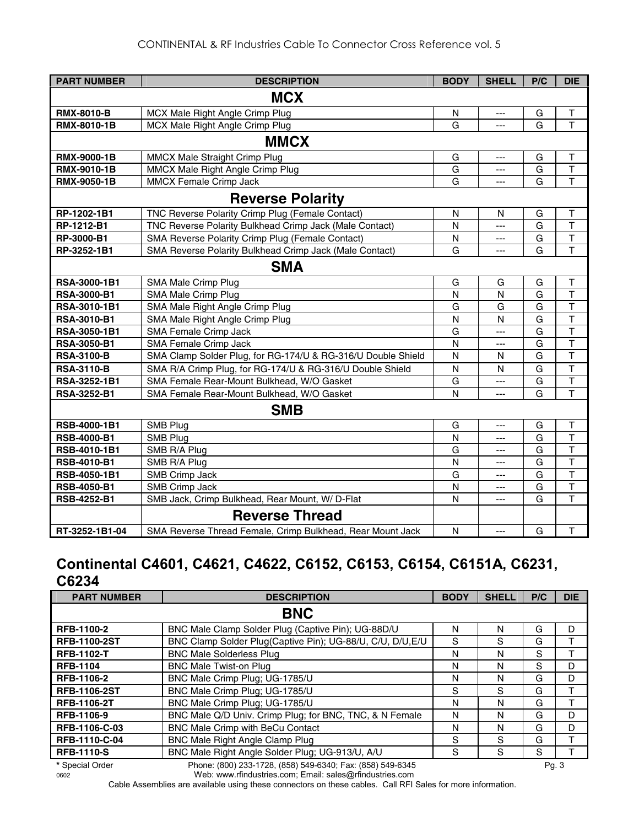| <b>PART NUMBER</b> | <b>DESCRIPTION</b>                                           | <b>BODY</b>  | <b>SHELL</b>   | P/C | <b>DIE</b>              |  |  |
|--------------------|--------------------------------------------------------------|--------------|----------------|-----|-------------------------|--|--|
| <b>MCX</b>         |                                                              |              |                |     |                         |  |  |
| <b>RMX-8010-B</b>  | MCX Male Right Angle Crimp Plug                              | $\mathsf{N}$ | ---            | G   | $\top$                  |  |  |
| <b>RMX-8010-1B</b> | MCX Male Right Angle Crimp Plug                              | G            | ---            | G   | T                       |  |  |
|                    | <b>MMCX</b>                                                  |              |                |     |                         |  |  |
| <b>RMX-9000-1B</b> | MMCX Male Straight Crimp Plug                                | G            | $---$          | G   | T                       |  |  |
| <b>RMX-9010-1B</b> | MMCX Male Right Angle Crimp Plug                             | G            | ---            | G   | T                       |  |  |
| RMX-9050-1B        | <b>MMCX Female Crimp Jack</b>                                | G            | ---            | G   | T                       |  |  |
|                    | <b>Reverse Polarity</b>                                      |              |                |     |                         |  |  |
| RP-1202-1B1        | TNC Reverse Polarity Crimp Plug (Female Contact)             | $\mathsf{N}$ | N              | G   | $\mathsf T$             |  |  |
| RP-1212-B1         | TNC Reverse Polarity Bulkhead Crimp Jack (Male Contact)      | N            | $---$          | G   | T                       |  |  |
| RP-3000-B1         | SMA Reverse Polarity Crimp Plug (Female Contact)             | N            | ---            | G   | $\overline{1}$          |  |  |
| RP-3252-1B1        | SMA Reverse Polarity Bulkhead Crimp Jack (Male Contact)      | G            | $---$          | G   | T                       |  |  |
|                    | <b>SMA</b>                                                   |              |                |     |                         |  |  |
| RSA-3000-1B1       | SMA Male Crimp Plug                                          | G            | G              | G   | т                       |  |  |
| <b>RSA-3000-B1</b> | SMA Male Crimp Plug                                          | N            | N              | G   | $\mathsf{T}$            |  |  |
| RSA-3010-1B1       | SMA Male Right Angle Crimp Plug                              | G            | G              | G   | $\top$                  |  |  |
| <b>RSA-3010-B1</b> | SMA Male Right Angle Crimp Plug                              | N            | N              | G   | T                       |  |  |
| RSA-3050-1B1       | SMA Female Crimp Jack                                        | G            | ---            | G   | $\overline{\mathsf{T}}$ |  |  |
| <b>RSA-3050-B1</b> | SMA Female Crimp Jack                                        | N            | $---$          | G   | $\mathsf{T}$            |  |  |
| <b>RSA-3100-B</b>  | SMA Clamp Solder Plug, for RG-174/U & RG-316/U Double Shield | N            | N              | G   | T                       |  |  |
| <b>RSA-3110-B</b>  | SMA R/A Crimp Plug, for RG-174/U & RG-316/U Double Shield    | N            | N              | G   | T                       |  |  |
| RSA-3252-1B1       | SMA Female Rear-Mount Bulkhead, W/O Gasket                   | G            | ---            | G   | T                       |  |  |
| RSA-3252-B1        | SMA Female Rear-Mount Bulkhead, W/O Gasket                   | N            | ---            | G   | T                       |  |  |
|                    | <b>SMB</b>                                                   |              |                |     |                         |  |  |
| RSB-4000-1B1       | SMB Plug                                                     | G            | $\overline{a}$ | G   | $\mathsf T$             |  |  |
| <b>RSB-4000-B1</b> | SMB Plug                                                     | N            | ---            | G   | T                       |  |  |
| RSB-4010-1B1       | SMB R/A Plug                                                 | G            | ---            | G   | $\overline{\mathsf{T}}$ |  |  |
| <b>RSB-4010-B1</b> | SMB R/A Plug                                                 | N            | ---            | G   | $\overline{\mathsf{T}}$ |  |  |
| RSB-4050-1B1       | <b>SMB Crimp Jack</b>                                        | G            | ---            | G   | $\overline{\mathsf{T}}$ |  |  |
| <b>RSB-4050-B1</b> | <b>SMB Crimp Jack</b>                                        | N            | ---            | G   | $\overline{\mathsf{T}}$ |  |  |
| RSB-4252-B1        | SMB Jack, Crimp Bulkhead, Rear Mount, W/ D-Flat              | N            | ---            | G   | T                       |  |  |
|                    | <b>Reverse Thread</b>                                        |              |                |     |                         |  |  |
| RT-3252-1B1-04     | SMA Reverse Thread Female, Crimp Bulkhead, Rear Mount Jack   | N            | $\overline{a}$ | G   | $\mathsf T$             |  |  |

#### **Continental C4601, C4621, C4622, C6152, C6153, C6154, C6151A, C6231, C6234**

| <b>PART NUMBER</b>  | <b>DESCRIPTION</b>                                                                                          | <b>BODY</b> | <b>SHELL</b> | P/C | <b>DIE</b> |
|---------------------|-------------------------------------------------------------------------------------------------------------|-------------|--------------|-----|------------|
|                     | <b>BNC</b>                                                                                                  |             |              |     |            |
| <b>RFB-1100-2</b>   | BNC Male Clamp Solder Plug (Captive Pin); UG-88D/U                                                          | N           | N            | G   | D          |
| <b>RFB-1100-2ST</b> | BNC Clamp Solder Plug(Captive Pin); UG-88/U, C/U, D/U, E/U                                                  | S           | S            | G   |            |
| <b>RFB-1102-T</b>   | <b>BNC Male Solderless Plug</b>                                                                             | N           | N            | S   |            |
| <b>RFB-1104</b>     | <b>BNC Male Twist-on Plug</b>                                                                               | N           | N            | S   | D          |
| RFB-1106-2          | BNC Male Crimp Plug; UG-1785/U                                                                              | N           | N            | G   | D          |
| <b>RFB-1106-2ST</b> | BNC Male Crimp Plug; UG-1785/U                                                                              | S           | S            | G   |            |
| <b>RFB-1106-2T</b>  | BNC Male Crimp Plug; UG-1785/U                                                                              | N           | N            | G   |            |
| RFB-1106-9          | BNC Male Q/D Univ. Crimp Plug; for BNC, TNC, & N Female                                                     | N           | N            | G   | D          |
| RFB-1106-C-03       | BNC Male Crimp with BeCu Contact                                                                            | N           | N            | G   | D          |
| RFB-1110-C-04       | BNC Male Right Angle Clamp Plug                                                                             | S           | S            | G   |            |
| <b>RFB-1110-S</b>   | BNC Male Right Angle Solder Plug; UG-913/U, A/U                                                             | S           | S            | S   |            |
|                     | $\mathbb{R}$ (333) $\mathbb{R}$ (333) $\mathbb{R}$ (333) $\mathbb{R}$ (333) $\mathbb{R}$ (334) $\mathbb{R}$ |             |              |     |            |

Cable Assemblies are available using these connectors on these cables. Call RFI Sales for more information.

**<sup>\*</sup>** Special Order Phone: (800) 233-1728, (858) 549-6340; Fax: (858) 549-6345 Pg. 3 0602 Web: www.rfindustries.com; Email: sales@rfindustries.com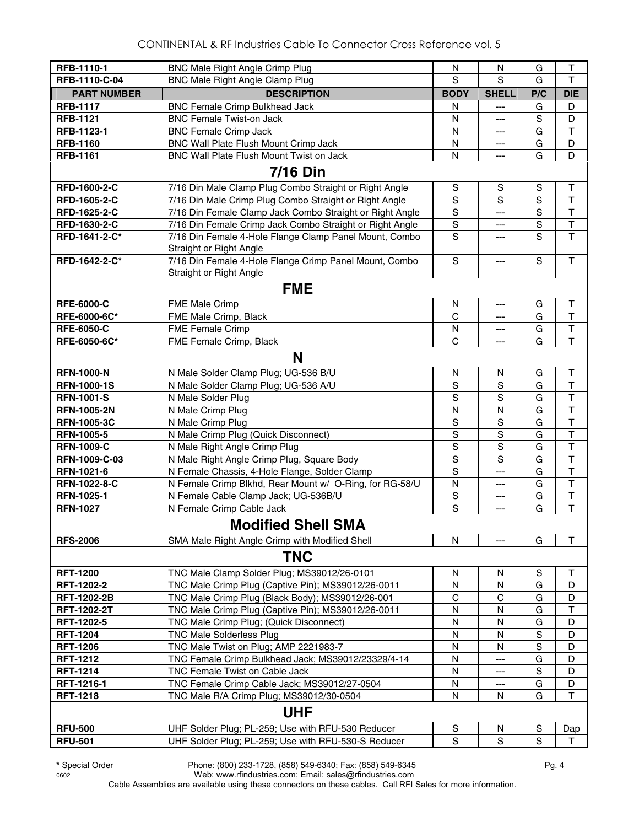| RFB-1110-1         | <b>BNC Male Right Angle Crimp Plug</b>                                            | N              | N              | G             | $\top$                  |
|--------------------|-----------------------------------------------------------------------------------|----------------|----------------|---------------|-------------------------|
| RFB-1110-C-04      | <b>BNC Male Right Angle Clamp Plug</b>                                            | S              | S              | G             | T                       |
| <b>PART NUMBER</b> | <b>DESCRIPTION</b>                                                                | <b>BODY</b>    | <b>SHELL</b>   | P/C           | <b>DIE</b>              |
| <b>RFB-1117</b>    |                                                                                   |                |                |               | D                       |
| <b>RFB-1121</b>    | <b>BNC Female Crimp Bulkhead Jack</b><br><b>BNC Female Twist-on Jack</b>          | Ν<br>N         | ---            | G<br>S        | D                       |
| RFB-1123-1         |                                                                                   |                | ---            |               | $\mathsf T$             |
|                    | <b>BNC Female Crimp Jack</b>                                                      | N              | ---            | G             |                         |
| <b>RFB-1160</b>    | BNC Wall Plate Flush Mount Crimp Jack<br>BNC Wall Plate Flush Mount Twist on Jack | N<br>N         | ---            | G<br>G        | D<br>D                  |
| <b>RFB-1161</b>    |                                                                                   |                | ---            |               |                         |
|                    | <b>7/16 Din</b>                                                                   |                |                |               |                         |
| RFD-1600-2-C       | 7/16 Din Male Clamp Plug Combo Straight or Right Angle                            | S              | S              | S             | $\top$                  |
| RFD-1605-2-C       | 7/16 Din Male Crimp Plug Combo Straight or Right Angle                            | S              | S              | S             | $\mathsf{T}$            |
| RFD-1625-2-C       | 7/16 Din Female Clamp Jack Combo Straight or Right Angle                          | $\mathsf S$    | ---            | S             | $\top$                  |
| RFD-1630-2-C       | 7/16 Din Female Crimp Jack Combo Straight or Right Angle                          | $\mathbf S$    | ---            | $\mathbf S$   | $\top$                  |
| RFD-1641-2-C*      | 7/16 Din Female 4-Hole Flange Clamp Panel Mount, Combo<br>Straight or Right Angle | S              | ---            | S             | $\mathsf T$             |
| RFD-1642-2-C*      | 7/16 Din Female 4-Hole Flange Crimp Panel Mount, Combo                            | ${\mathsf S}$  | $---$          | S             | $\mathsf{T}$            |
|                    | Straight or Right Angle                                                           |                |                |               |                         |
|                    |                                                                                   |                |                |               |                         |
|                    | <b>FME</b>                                                                        |                |                |               |                         |
| <b>RFE-6000-C</b>  | <b>FME Male Crimp</b>                                                             | N              | $---$          | G             | T                       |
| RFE-6000-6C*       | FME Male Crimp, Black                                                             | C              | ---            | G             | $\mathsf T$             |
| <b>RFE-6050-C</b>  | <b>FME Female Crimp</b>                                                           | N              | ---            | G             | $\overline{\mathsf{T}}$ |
| RFE-6050-6C*       | FME Female Crimp, Black                                                           | C              | ---            | G             | $\overline{\mathsf{T}}$ |
|                    | N                                                                                 |                |                |               |                         |
| <b>RFN-1000-N</b>  | N Male Solder Clamp Plug; UG-536 B/U                                              | ${\sf N}$      | N              | G             | T                       |
| <b>RFN-1000-1S</b> | N Male Solder Clamp Plug; UG-536 A/U                                              | $\rm S$        | $\mathbf S$    | G             | $\top$                  |
| <b>RFN-1001-S</b>  | N Male Solder Plug                                                                | $\mathbf S$    | S              | G             | $\top$                  |
| <b>RFN-1005-2N</b> | N Male Crimp Plug                                                                 | N              | N              | G             | $\mathsf{T}$            |
| <b>RFN-1005-3C</b> | N Male Crimp Plug                                                                 | $\rm S$        | S              | G             | $\mathsf T$             |
| <b>RFN-1005-5</b>  | N Male Crimp Plug (Quick Disconnect)                                              | $\overline{s}$ | $\mathbf S$    | G             | $\top$                  |
| <b>RFN-1009-C</b>  | N Male Right Angle Crimp Plug                                                     | $\overline{s}$ | $\overline{s}$ | G             | $\overline{\mathsf{T}}$ |
| RFN-1009-C-03      | N Male Right Angle Crimp Plug, Square Body                                        | $\overline{S}$ | S              | G             | $\overline{\mathsf{T}}$ |
| RFN-1021-6         | N Female Chassis, 4-Hole Flange, Solder Clamp                                     | $\overline{s}$ | ---            | G             | $\overline{\mathsf{T}}$ |
| RFN-1022-8-C       | N Female Crimp Blkhd, Rear Mount w/ O-Ring, for RG-58/U                           | N              | ---            | G             | $\overline{\mathsf{T}}$ |
| RFN-1025-1         | N Female Cable Clamp Jack; UG-536B/U                                              | $\rm S$        | ---            | G             | $\overline{\mathsf{T}}$ |
| <b>RFN-1027</b>    | N Female Crimp Cable Jack                                                         | S              | ---            | G             | $\mathsf{T}$            |
|                    | <b>Modified Shell SMA</b>                                                         |                |                |               |                         |
| <b>RFS-2006</b>    | SMA Male Right Angle Crimp with Modified Shell                                    | N              | ---            | G             | т                       |
|                    | <b>TNC</b>                                                                        |                |                |               |                         |
| <b>RFT-1200</b>    | TNC Male Clamp Solder Plug; MS39012/26-0101                                       | N              | N              | $\mathbb S$   | Τ                       |
| RFT-1202-2         | TNC Male Crimp Plug (Captive Pin); MS39012/26-0011                                | N              | N              | G             | D                       |
| <b>RFT-1202-2B</b> | TNC Male Crimp Plug (Black Body); MS39012/26-001                                  | C              | С              | G             | D                       |
| <b>RFT-1202-2T</b> | TNC Male Crimp Plug (Captive Pin); MS39012/26-0011                                | N              | N              | G             | $\top$                  |
| RFT-1202-5         | TNC Male Crimp Plug; (Quick Disconnect)                                           | ${\sf N}$      | N              | G             | D                       |
| <b>RFT-1204</b>    | <b>TNC Male Solderless Plug</b>                                                   | ${\sf N}$      | N              | $\mathbf S$   | D                       |
| <b>RFT-1206</b>    | TNC Male Twist on Plug; AMP 2221983-7                                             | N              | N              | S             | D                       |
| <b>RFT-1212</b>    | TNC Female Crimp Bulkhead Jack; MS39012/23329/4-14                                | N              | ---            | G             | D                       |
| <b>RFT-1214</b>    | TNC Female Twist on Cable Jack                                                    | N              | ---            | S             | D                       |
| RFT-1216-1         | TNC Female Crimp Cable Jack; MS39012/27-0504                                      | N              | ---            | G             | D                       |
| <b>RFT-1218</b>    | TNC Male R/A Crimp Plug; MS39012/30-0504                                          | N              | N              | G             | $\mathsf{T}$            |
|                    | <b>UHF</b>                                                                        |                |                |               |                         |
| <b>RFU-500</b>     | UHF Solder Plug; PL-259; Use with RFU-530 Reducer                                 | S              | N              | S             | Dap                     |
| <b>RFU-501</b>     | UHF Solder Plug; PL-259; Use with RFU-530-S Reducer                               | S              | S              | ${\mathsf S}$ | т                       |
|                    |                                                                                   |                |                |               |                         |

**\*** Special Order Phone: (800) 233-1728, (858) 549-6340; Fax: (858) 549-6345 Pg. 4

0602 Web: www.rfindustries.com; Email: sales@rfindustries.com Cable Assemblies are available using these connectors on these cables. Call RFI Sales for more information.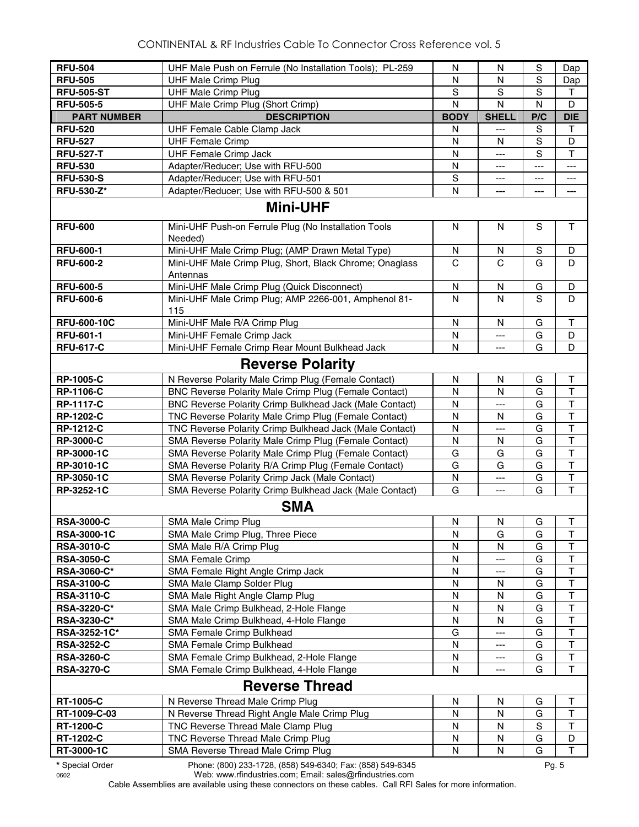| <b>RFU-504</b>     | UHF Male Push on Ferrule (No Installation Tools); PL-259 | N            | N            | S             | Dap                     |
|--------------------|----------------------------------------------------------|--------------|--------------|---------------|-------------------------|
| <b>RFU-505</b>     | <b>UHF Male Crimp Plug</b>                               | $\mathsf{N}$ | N            | S             | Dap                     |
| <b>RFU-505-ST</b>  | <b>UHF Male Crimp Plug</b>                               | S            | $\mathbf S$  | S             | $\mathsf{T}$            |
| <b>RFU-505-5</b>   |                                                          |              |              | N             | D                       |
|                    | UHF Male Crimp Plug (Short Crimp)                        | N            | N            |               |                         |
| <b>PART NUMBER</b> | <b>DESCRIPTION</b>                                       | <b>BODY</b>  | <b>SHELL</b> | P/C           | <b>DIE</b>              |
| <b>RFU-520</b>     | UHF Female Cable Clamp Jack                              | N            | ---          | S             | T                       |
| <b>RFU-527</b>     | <b>UHF Female Crimp</b>                                  | N            | N            | S             | D                       |
| <b>RFU-527-T</b>   | <b>UHF Female Crimp Jack</b>                             | N            | ---          | S             | $\mathsf T$             |
| <b>RFU-530</b>     | Adapter/Reducer; Use with RFU-500                        | N            | ---          | ---           | ---                     |
| <b>RFU-530-S</b>   | Adapter/Reducer; Use with RFU-501                        | S            | ---          |               | ---                     |
| <b>RFU-530-Z*</b>  | Adapter/Reducer; Use with RFU-500 & 501                  | $\mathsf{N}$ | ---          | ---           | ---                     |
|                    | <b>Mini-UHF</b>                                          |              |              |               |                         |
| <b>RFU-600</b>     | Mini-UHF Push-on Ferrule Plug (No Installation Tools     | N            | N            | S             | $\mathsf{T}$            |
|                    | Needed)                                                  |              |              |               |                         |
| <b>RFU-600-1</b>   | Mini-UHF Male Crimp Plug; (AMP Drawn Metal Type)         | N            | N            | $\mathbf S$   | D                       |
| <b>RFU-600-2</b>   | Mini-UHF Male Crimp Plug, Short, Black Chrome; Onaglass  | C            | C            | G             | D                       |
|                    | Antennas                                                 |              |              |               |                         |
| <b>RFU-600-5</b>   | Mini-UHF Male Crimp Plug (Quick Disconnect)              | N            | N            | G             | D                       |
| <b>RFU-600-6</b>   | Mini-UHF Male Crimp Plug; AMP 2266-001, Amphenol 81-     | $\mathsf{N}$ | N            | S             | D                       |
|                    | 115                                                      |              |              |               |                         |
| <b>RFU-600-10C</b> | Mini-UHF Male R/A Crimp Plug                             | N            | N            | G             | Τ                       |
| <b>RFU-601-1</b>   | Mini-UHF Female Crimp Jack                               | N            | ---          | G             | D                       |
| <b>RFU-617-C</b>   | Mini-UHF Female Crimp Rear Mount Bulkhead Jack           | N            | ---          | G             | D                       |
|                    |                                                          |              |              |               |                         |
|                    | <b>Reverse Polarity</b>                                  |              |              |               |                         |
| <b>RP-1005-C</b>   | N Reverse Polarity Male Crimp Plug (Female Contact)      | N            | N            | G             | Τ                       |
| RP-1106-C          | BNC Reverse Polarity Male Crimp Plug (Female Contact)    | N            | N            | G             | $\overline{\mathsf{T}}$ |
| <b>RP-1117-C</b>   | BNC Reverse Polarity Crimp Bulkhead Jack (Male Contact)  | N            | ---          | G             | $\mathsf{T}$            |
| <b>RP-1202-C</b>   | TNC Reverse Polarity Male Crimp Plug (Female Contact)    | N            | N            | G             | $\mathsf T$             |
| <b>RP-1212-C</b>   | TNC Reverse Polarity Crimp Bulkhead Jack (Male Contact)  | ${\sf N}$    | ---          | G             | $\overline{\mathsf{T}}$ |
| <b>RP-3000-C</b>   | SMA Reverse Polarity Male Crimp Plug (Female Contact)    | $\mathsf{N}$ | N            | G             | $\overline{\mathsf{T}}$ |
| RP-3000-1C         | SMA Reverse Polarity Male Crimp Plug (Female Contact)    | G            | G            | G             | $\overline{\mathsf{T}}$ |
| RP-3010-1C         | SMA Reverse Polarity R/A Crimp Plug (Female Contact)     | G            | G            | G             | $\overline{\mathsf{T}}$ |
| RP-3050-1C         | SMA Reverse Polarity Crimp Jack (Male Contact)           | N            | ---          | G             | $\overline{\mathsf{T}}$ |
| RP-3252-1C         | SMA Reverse Polarity Crimp Bulkhead Jack (Male Contact)  | G            | ---          | G             | T                       |
|                    | <b>SMA</b>                                               |              |              |               |                         |
| <b>RSA-3000-C</b>  | SMA Male Crimp Plug                                      | N            | N            | G             | Τ                       |
| <b>RSA-3000-1C</b> | SMA Male Crimp Plug, Three Piece                         | N            | G            | G             | Τ                       |
| <b>RSA-3010-C</b>  | SMA Male R/A Crimp Plug                                  | N            | N            | G             | T                       |
| <b>RSA-3050-C</b>  | <b>SMA Female Crimp</b>                                  | N            | ---          | G             | $\top$                  |
| RSA-3060-C*        | SMA Female Right Angle Crimp Jack                        | N            |              | G             | $\mathsf T$             |
| <b>RSA-3100-C</b>  | SMA Male Clamp Solder Plug                               | N            | N            | G             | T                       |
| <b>RSA-3110-C</b>  | SMA Male Right Angle Clamp Plug                          | N            | N            | G             | $\top$                  |
| RSA-3220-C*        | SMA Male Crimp Bulkhead, 2-Hole Flange                   | $\mathsf{N}$ | N            | G             | $\top$                  |
| RSA-3230-C*        | SMA Male Crimp Bulkhead, 4-Hole Flange                   | N            | N            | G             | $\overline{\mathsf{T}}$ |
| RSA-3252-1C*       | SMA Female Crimp Bulkhead                                | G            | ---          | G             | $\top$                  |
|                    | SMA Female Crimp Bulkhead                                |              |              | G             | $\top$                  |
| <b>RSA-3252-C</b>  |                                                          | N            | ---          |               | $\top$                  |
| <b>RSA-3260-C</b>  | SMA Female Crimp Bulkhead, 2-Hole Flange                 | N            | ---          | G             | $\mathsf T$             |
| <b>RSA-3270-C</b>  | SMA Female Crimp Bulkhead, 4-Hole Flange                 | N            | ---          | G             |                         |
|                    | <b>Reverse Thread</b>                                    |              |              |               |                         |
| <b>RT-1005-C</b>   | N Reverse Thread Male Crimp Plug                         | N            | N            | G             | Τ                       |
| RT-1009-C-03       | N Reverse Thread Right Angle Male Crimp Plug             | N            | N            | G             | $\sf T$                 |
| <b>RT-1200-C</b>   | TNC Reverse Thread Male Clamp Plug                       | N            | N            | ${\mathbb S}$ | $\top$                  |
| RT-1202-C          | TNC Reverse Thread Male Crimp Plug                       | N            | N            | G             | D                       |
| RT-3000-1C         | SMA Reverse Thread Male Crimp Plug                       | N            | N            | G             | $\mathsf T$             |

**\*** Special Order Phone: (800) 233-1728, (858) 549-6340; Fax: (858) 549-6345 Pg. 5

0602 Web: www.rfindustries.com; Email: sales@rfindustries.com Cable Assemblies are available using these connectors on these cables. Call RFI Sales for more information.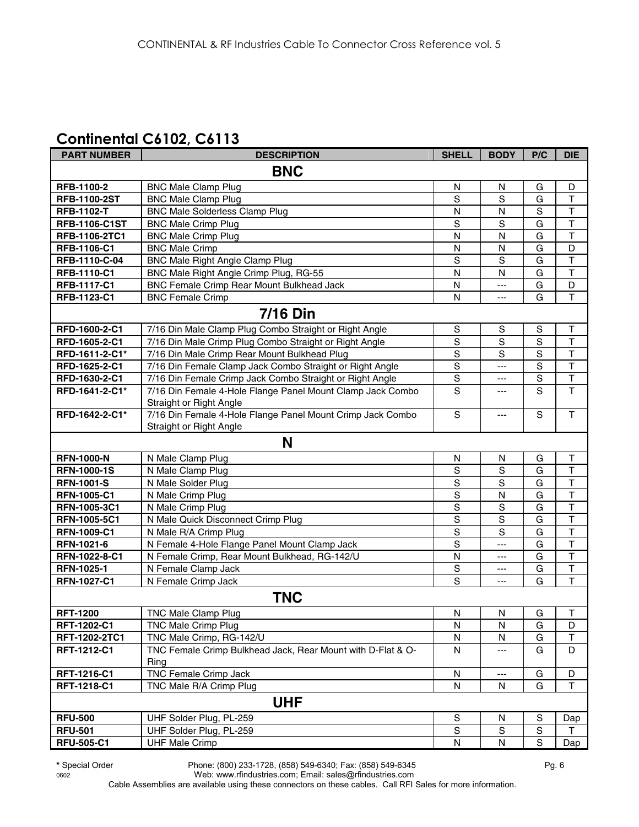## **Continental C6102, C6113**

| <b>PART NUMBER</b>   | <b>DESCRIPTION</b>                                                  | <b>SHELL</b>   | <b>BODY</b>    | P/C            | <b>DIE</b>              |  |  |
|----------------------|---------------------------------------------------------------------|----------------|----------------|----------------|-------------------------|--|--|
| <b>BNC</b>           |                                                                     |                |                |                |                         |  |  |
| RFB-1100-2           | <b>BNC Male Clamp Plug</b>                                          | N              | N              | G              | D                       |  |  |
| <b>RFB-1100-2ST</b>  | <b>BNC Male Clamp Plug</b>                                          | S              | $\overline{s}$ | G              | $\mathsf T$             |  |  |
| <b>RFB-1102-T</b>    | <b>BNC Male Solderless Clamp Plug</b>                               | N              | N              | $\mathbf S$    | $\mathsf T$             |  |  |
| <b>RFB-1106-C1ST</b> | <b>BNC Male Crimp Plug</b>                                          | S              | S              | G              | $\mathsf T$             |  |  |
| RFB-1106-2TC1        | <b>BNC Male Crimp Plug</b>                                          | N              | $\mathsf{N}$   | G              | $\mathsf T$             |  |  |
| RFB-1106-C1          | <b>BNC Male Crimp</b>                                               | $\mathsf{N}$   | $\mathsf{N}$   | G              | D                       |  |  |
| RFB-1110-C-04        | <b>BNC Male Right Angle Clamp Plug</b>                              | ${\mathsf S}$  | S              | G              | $\mathsf{T}$            |  |  |
| RFB-1110-C1          | BNC Male Right Angle Crimp Plug, RG-55                              | N              | N              | G              | $\mathsf T$             |  |  |
| <b>RFB-1117-C1</b>   | <b>BNC Female Crimp Rear Mount Bulkhead Jack</b>                    | ${\sf N}$      | $---$          | G              | D                       |  |  |
| RFB-1123-C1          | <b>BNC Female Crimp</b>                                             | N              | $\overline{a}$ | G              | $\mathsf T$             |  |  |
|                      | <b>7/16 Din</b>                                                     |                |                |                |                         |  |  |
| RFD-1600-2-C1        | 7/16 Din Male Clamp Plug Combo Straight or Right Angle              | S              | S              | S              | Τ                       |  |  |
| RFD-1605-2-C1        | 7/16 Din Male Crimp Plug Combo Straight or Right Angle              | $\mathbb S$    | S              | S              | $\mathsf{T}$            |  |  |
| RFD-1611-2-C1*       | 7/16 Din Male Crimp Rear Mount Bulkhead Plug                        | $\mathbf S$    | S              | $\mathbf S$    | $\overline{\mathsf{T}}$ |  |  |
| RFD-1625-2-C1        | 7/16 Din Female Clamp Jack Combo Straight or Right Angle            | ${\mathsf S}$  | $---$          | $\mathbf S$    | $\mathsf T$             |  |  |
| RFD-1630-2-C1        | 7/16 Din Female Crimp Jack Combo Straight or Right Angle            | $\mathbb S$    | ---            | $\mathbf S$    | $\top$                  |  |  |
| RFD-1641-2-C1*       | 7/16 Din Female 4-Hole Flange Panel Mount Clamp Jack Combo          | $\mathbf S$    | ---            | $\mathbf S$    | $\mathsf T$             |  |  |
|                      | Straight or Right Angle                                             |                |                |                |                         |  |  |
| RFD-1642-2-C1*       | 7/16 Din Female 4-Hole Flange Panel Mount Crimp Jack Combo          | $\mathbf S$    | ---            | S              | $\mathsf T$             |  |  |
|                      | Straight or Right Angle                                             |                |                |                |                         |  |  |
|                      | N                                                                   |                |                |                |                         |  |  |
| <b>RFN-1000-N</b>    | N Male Clamp Plug                                                   | ${\sf N}$      | N              | G              | $\top$                  |  |  |
| <b>RFN-1000-1S</b>   | N Male Clamp Plug                                                   | $\mathbf S$    | S              | G              | $\overline{\mathsf{T}}$ |  |  |
| <b>RFN-1001-S</b>    | N Male Solder Plug                                                  | $\overline{s}$ | $\overline{s}$ | G              | $\overline{\mathsf{T}}$ |  |  |
| <b>RFN-1005-C1</b>   | N Male Crimp Plug                                                   | $\overline{s}$ | N              | $\overline{G}$ | $\overline{\mathsf{T}}$ |  |  |
| RFN-1005-3C1         | N Male Crimp Plug                                                   | $\overline{s}$ | $\overline{s}$ | G              | $\overline{\mathsf{T}}$ |  |  |
| RFN-1005-5C1         | N Male Quick Disconnect Crimp Plug                                  | $\mathbf S$    | $\mathbf S$    | G              | $\top$                  |  |  |
| <b>RFN-1009-C1</b>   | N Male R/A Crimp Plug                                               | $\overline{s}$ | $\overline{s}$ | G              | $\overline{\mathsf{T}}$ |  |  |
| RFN-1021-6           | N Female 4-Hole Flange Panel Mount Clamp Jack                       | $\overline{s}$ | ---            | G              | $\overline{\mathsf{T}}$ |  |  |
| RFN-1022-8-C1        | N Female Crimp, Rear Mount Bulkhead, RG-142/U                       | N              | ---            | G              | $\mathsf{T}$            |  |  |
| RFN-1025-1           | N Female Clamp Jack                                                 | S              | ---            | G              | $\overline{\mathsf{T}}$ |  |  |
| <b>RFN-1027-C1</b>   | N Female Crimp Jack                                                 | S              | $---$          | G              | $\overline{\mathsf{T}}$ |  |  |
|                      | <b>TNC</b>                                                          |                |                |                |                         |  |  |
| <b>RFT-1200</b>      | TNC Male Clamp Plug                                                 | ${\sf N}$      | ${\sf N}$      | G              | $\top$                  |  |  |
| <b>RFT-1202-C1</b>   | TNC Male Crimp Plug                                                 | N              | N              | G              | D                       |  |  |
| RFT-1202-2TC1        | TNC Male Crimp, RG-142/U                                            | N              | N              | G              | $\top$                  |  |  |
| RFT-1212-C1          | TNC Female Crimp Bulkhead Jack, Rear Mount with D-Flat & O-<br>Ring | N              | ---            | G              | D                       |  |  |
| RFT-1216-C1          | <b>TNC Female Crimp Jack</b>                                        | N              | $---$          | G              | D                       |  |  |
| RFT-1218-C1          | TNC Male R/A Crimp Plug                                             | N              | N              | G              | $\mathsf T$             |  |  |
|                      | <b>UHF</b>                                                          |                |                |                |                         |  |  |
| <b>RFU-500</b>       | UHF Solder Plug, PL-259                                             | ${\mathbb S}$  | N              | $\mathbb S$    | Dap                     |  |  |
| <b>RFU-501</b>       | UHF Solder Plug, PL-259                                             | ${\mathbb S}$  | $\mathbb S$    | $\mathbb S$    | $\mathsf{T}$            |  |  |
| <b>RFU-505-C1</b>    | <b>UHF Male Crimp</b>                                               | ${\sf N}$      | $\mathsf{N}$   | S              | Dap                     |  |  |

0602 Web: www.rfindustries.com; Email: sales@rfindustries.com Cable Assemblies are available using these connectors on these cables. Call RFI Sales for more information.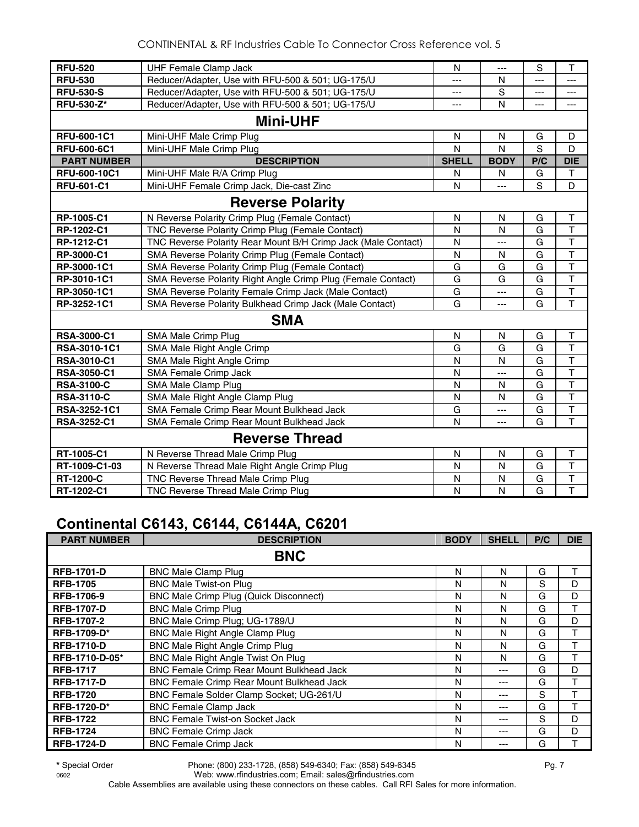| <b>RFU-520</b>     | <b>UHF Female Clamp Jack</b>                                  | N            | $---$          | S   | T                       |
|--------------------|---------------------------------------------------------------|--------------|----------------|-----|-------------------------|
| <b>RFU-530</b>     | Reducer/Adapter, Use with RFU-500 & 501; UG-175/U             | ---          | N              | --- | ---                     |
| <b>RFU-530-S</b>   | Reducer/Adapter, Use with RFU-500 & 501; UG-175/U             | $---$        | $\overline{s}$ | --- | ---                     |
| <b>RFU-530-Z*</b>  | Reducer/Adapter, Use with RFU-500 & 501; UG-175/U             | ---          | N              | --- | ---                     |
|                    | <b>Mini-UHF</b>                                               |              |                |     |                         |
| RFU-600-1C1        | Mini-UHF Male Crimp Plug                                      | $\mathsf{N}$ | N              | G   | D                       |
| <b>RFU-600-6C1</b> | Mini-UHF Male Crimp Plug                                      | N            | N              | S   | D                       |
| <b>PART NUMBER</b> | <b>DESCRIPTION</b>                                            | <b>SHELL</b> | <b>BODY</b>    | P/C | <b>DIE</b>              |
| RFU-600-10C1       | Mini-UHF Male R/A Crimp Plug                                  | N            | N              | G   | T                       |
| <b>RFU-601-C1</b>  | Mini-UHF Female Crimp Jack, Die-cast Zinc                     | N            | ---            | S   | D                       |
|                    | <b>Reverse Polarity</b>                                       |              |                |     |                         |
| RP-1005-C1         | N Reverse Polarity Crimp Plug (Female Contact)                | N            | N              | G   | Τ                       |
| RP-1202-C1         | TNC Reverse Polarity Crimp Plug (Female Contact)              | N            | N              | G   | T                       |
| RP-1212-C1         | TNC Reverse Polarity Rear Mount B/H Crimp Jack (Male Contact) | N            | ---            | G   | T                       |
| RP-3000-C1         | SMA Reverse Polarity Crimp Plug (Female Contact)              | N            | N              | G   | $\mathsf T$             |
| RP-3000-1C1        | SMA Reverse Polarity Crimp Plug (Female Contact)              | G            | G              | G   | $\overline{\mathsf{T}}$ |
| RP-3010-1C1        | SMA Reverse Polarity Right Angle Crimp Plug (Female Contact)  | G            | G              | G   | $\overline{\mathsf{T}}$ |
| RP-3050-1C1        | SMA Reverse Polarity Female Crimp Jack (Male Contact)         | G            | ---            | G   | T                       |
| RP-3252-1C1        | SMA Reverse Polarity Bulkhead Crimp Jack (Male Contact)       | G            | ---            | G   | $\overline{\mathsf{T}}$ |
|                    | <b>SMA</b>                                                    |              |                |     |                         |
| <b>RSA-3000-C1</b> | <b>SMA Male Crimp Plug</b>                                    | N            | N              | G   | T                       |
| RSA-3010-1C1       | SMA Male Right Angle Crimp                                    | G            | G              | G   | $\mathsf{T}$            |
| <b>RSA-3010-C1</b> | SMA Male Right Angle Crimp                                    | N            | N              | G   | $\mathsf{T}$            |
| <b>RSA-3050-C1</b> | SMA Female Crimp Jack                                         | $\mathsf{N}$ | $\overline{a}$ | G   | $\overline{\mathsf{T}}$ |
| <b>RSA-3100-C</b>  | SMA Male Clamp Plug                                           | $\mathsf{N}$ | N              | G   | $\top$                  |
| <b>RSA-3110-C</b>  | SMA Male Right Angle Clamp Plug                               | N            | N              | G   | $\overline{\mathsf{T}}$ |
| RSA-3252-1C1       | SMA Female Crimp Rear Mount Bulkhead Jack                     | G            | ---            | G   | $\overline{\mathsf{T}}$ |
| <b>RSA-3252-C1</b> | SMA Female Crimp Rear Mount Bulkhead Jack                     | $\mathsf{N}$ | ---            | G   | T                       |
|                    | <b>Reverse Thread</b>                                         |              |                |     |                         |
| RT-1005-C1         | N Reverse Thread Male Crimp Plug                              | $\mathsf{N}$ | N              | G   | T                       |
| RT-1009-C1-03      | N Reverse Thread Male Right Angle Crimp Plug                  | $\mathsf{N}$ | N              | G   | $\mathsf{T}$            |
| RT-1200-C          | TNC Reverse Thread Male Crimp Plug                            | $\mathsf{N}$ | N              | G   | T                       |
| RT-1202-C1         | TNC Reverse Thread Male Crimp Plug                            | $\mathsf{N}$ | N              | G   | $\mathsf T$             |

# **Continental C6143, C6144, C6144A, C6201**

| <b>PART NUMBER</b> | <b>DESCRIPTION</b>                               | <b>BODY</b> | <b>SHELL</b> | P/C | <b>DIE</b> |
|--------------------|--------------------------------------------------|-------------|--------------|-----|------------|
|                    | <b>BNC</b>                                       |             |              |     |            |
| <b>RFB-1701-D</b>  | <b>BNC Male Clamp Plug</b>                       | N           | N            | G   | т          |
| <b>RFB-1705</b>    | <b>BNC Male Twist-on Plug</b>                    | N           | N            | S   | D          |
| <b>RFB-1706-9</b>  | <b>BNC Male Crimp Plug (Quick Disconnect)</b>    | N           | N            | G   | D          |
| <b>RFB-1707-D</b>  | <b>BNC Male Crimp Plug</b>                       | N           | N            | G   | T          |
| <b>RFB-1707-2</b>  | BNC Male Crimp Plug; UG-1789/U                   | N           | N            | G   | D          |
| <b>RFB-1709-D*</b> | BNC Male Right Angle Clamp Plug                  | N           | N            | G   | T          |
| <b>RFB-1710-D</b>  | <b>BNC Male Right Angle Crimp Plug</b>           | N           | N            | G   | Τ          |
| RFB-1710-D-05*     | BNC Male Right Angle Twist On Plug               | N           | N            | G   | т          |
| <b>RFB-1717</b>    | BNC Female Crimp Rear Mount Bulkhead Jack        | N           | $---$        | G   | D          |
| <b>RFB-1717-D</b>  | <b>BNC Female Crimp Rear Mount Bulkhead Jack</b> | N           | $--$         | G   | T          |
| <b>RFB-1720</b>    | BNC Female Solder Clamp Socket; UG-261/U         | N           | $---$        | S   |            |
| <b>RFB-1720-D*</b> | <b>BNC Female Clamp Jack</b>                     | N           | $--$         | G   |            |
| <b>RFB-1722</b>    | <b>BNC Female Twist-on Socket Jack</b>           | N           | $---$        | S   | D          |
| <b>RFB-1724</b>    | <b>BNC Female Crimp Jack</b>                     | N           | $---$        | G   | D          |
| <b>RFB-1724-D</b>  | <b>BNC Female Crimp Jack</b>                     | N           | ---          | G   |            |

**\*** Special Order Phone: (800) 233-1728, (858) 549-6340; Fax: (858) 549-6345 Pg. 7 Web: www.rfindustries.com; Email: sales@rfindustries.com

Cable Assemblies are available using these connectors on these cables. Call RFI Sales for more information.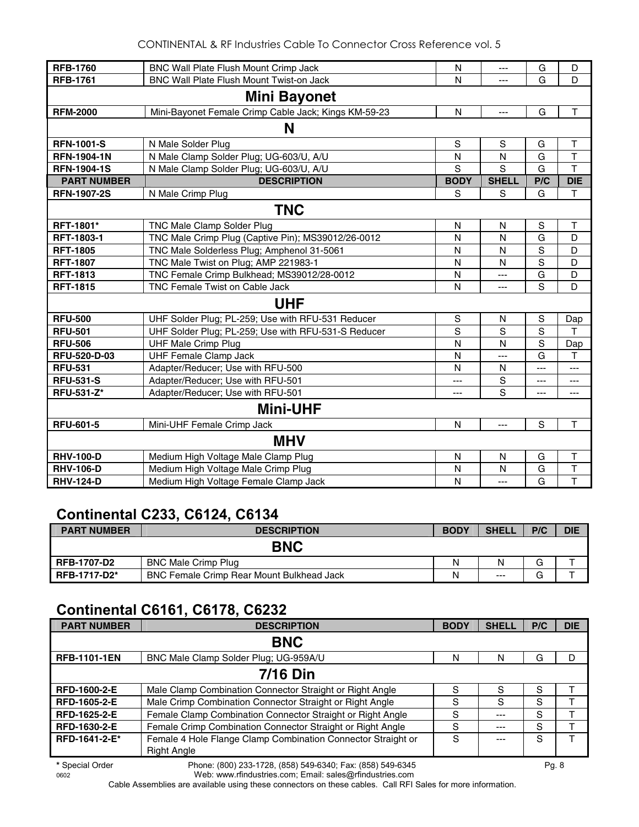CONTINENTAL & RF Industries Cable To Connector Cross Reference vol. 5

| <b>RFB-1760</b>     | BNC Wall Plate Flush Mount Crimp Jack                | N           | $- - -$        | G              | D                       |  |  |  |
|---------------------|------------------------------------------------------|-------------|----------------|----------------|-------------------------|--|--|--|
| <b>RFB-1761</b>     | <b>BNC Wall Plate Flush Mount Twist-on Jack</b>      | N           | ---            | G              | D                       |  |  |  |
| <b>Mini Bayonet</b> |                                                      |             |                |                |                         |  |  |  |
| <b>RFM-2000</b>     | Mini-Bayonet Female Crimp Cable Jack; Kings KM-59-23 | N           | $\overline{a}$ | G              | $\mathsf T$             |  |  |  |
|                     | N                                                    |             |                |                |                         |  |  |  |
| <b>RFN-1001-S</b>   | N Male Solder Plug                                   | $\mathbf S$ | ${\sf S}$      | G              | T                       |  |  |  |
| <b>RFN-1904-1N</b>  | N Male Clamp Solder Plug; UG-603/U, A/U              | N           | N              | G              | $\overline{\mathsf{T}}$ |  |  |  |
| <b>RFN-1904-1S</b>  | N Male Clamp Solder Plug; UG-603/U, A/U              | S           | S              | G              | $\overline{\mathsf{T}}$ |  |  |  |
| <b>PART NUMBER</b>  | <b>DESCRIPTION</b>                                   | <b>BODY</b> | <b>SHELL</b>   | P/C            | <b>DIE</b>              |  |  |  |
| <b>RFN-1907-2S</b>  | N Male Crimp Plug                                    | S           | S              | G              | T                       |  |  |  |
|                     | <b>TNC</b>                                           |             |                |                |                         |  |  |  |
| RFT-1801*           | TNC Male Clamp Solder Plug                           | N           | N              | S              | Т                       |  |  |  |
| RFT-1803-1          | TNC Male Crimp Plug (Captive Pin); MS39012/26-0012   | N           | N              | G              | D                       |  |  |  |
| <b>RFT-1805</b>     | TNC Male Solderless Plug; Amphenol 31-5061           | N           | N              | S              | D                       |  |  |  |
| <b>RFT-1807</b>     | TNC Male Twist on Plug; AMP 221983-1                 | N           | N              | $\overline{s}$ | D                       |  |  |  |
| <b>RFT-1813</b>     | TNC Female Crimp Bulkhead; MS39012/28-0012           | N           | ---            | G              | D                       |  |  |  |
| <b>RFT-1815</b>     | <b>TNC Female Twist on Cable Jack</b>                | N           | ---            | S              | D                       |  |  |  |
|                     | <b>UHF</b>                                           |             |                |                |                         |  |  |  |
| <b>RFU-500</b>      | UHF Solder Plug; PL-259; Use with RFU-531 Reducer    | S           | N              | ${\mathsf S}$  | Dap                     |  |  |  |
| <b>RFU-501</b>      | UHF Solder Plug; PL-259; Use with RFU-531-S Reducer  | S           | S              | $\overline{s}$ | T                       |  |  |  |
| <b>RFU-506</b>      | <b>UHF Male Crimp Plug</b>                           | N           | N              | $\overline{s}$ | Dap                     |  |  |  |
| RFU-520-D-03        | <b>UHF Female Clamp Jack</b>                         | N           | ---            | G              | T                       |  |  |  |
| <b>RFU-531</b>      | Adapter/Reducer; Use with RFU-500                    | N           | N              | ---            | ---                     |  |  |  |
| <b>RFU-531-S</b>    | Adapter/Reducer; Use with RFU-501                    | ---         | ${\mathsf S}$  | ---            | ---                     |  |  |  |
| <b>RFU-531-Z*</b>   | Adapter/Reducer; Use with RFU-501                    | ---         | S              | ---            | ---                     |  |  |  |
|                     | <b>Mini-UHF</b>                                      |             |                |                |                         |  |  |  |
| <b>RFU-601-5</b>    | Mini-UHF Female Crimp Jack                           | N           | ---            | $\mathbf S$    | $\overline{1}$          |  |  |  |
|                     | <b>MHV</b>                                           |             |                |                |                         |  |  |  |
| <b>RHV-100-D</b>    | Medium High Voltage Male Clamp Plug                  | N           | N              | G              | T                       |  |  |  |
| <b>RHV-106-D</b>    | Medium High Voltage Male Crimp Plug                  | N           | N              | G              | T                       |  |  |  |
| <b>RHV-124-D</b>    | Medium High Voltage Female Clamp Jack                | N           | ---            | G              | $\mathsf T$             |  |  |  |

#### **Continental C233, C6124, C6134**

| <b>PART NUMBER</b>                                                            | <b>DESCRIPTION</b>                               | <b>BODY</b> | <b>SHEL</b> | P/C | <b>DIE</b> |
|-------------------------------------------------------------------------------|--------------------------------------------------|-------------|-------------|-----|------------|
| <b>BNC</b><br>G<br>Ν<br><b>RFB-1707-D2</b><br><b>BNC Male Crimp Plug</b><br>N |                                                  |             |             |     |            |
|                                                                               |                                                  |             |             |     |            |
| <b>RFB-1717-D2*</b>                                                           | <b>BNC Female Crimp Rear Mount Bulkhead Jack</b> | Ν           | $---$       | G   |            |

## **Continental C6161, C6178, C6232**

| <b>PART NUMBER</b>  | <b>DESCRIPTION</b>                                                          | <b>BODY</b> | <b>SHELL</b> | P/C | <b>DIE</b> |  |
|---------------------|-----------------------------------------------------------------------------|-------------|--------------|-----|------------|--|
| <b>BNC</b>          |                                                                             |             |              |     |            |  |
| <b>RFB-1101-1EN</b> | BNC Male Clamp Solder Plug; UG-959A/U                                       | N           | N            | G   | D          |  |
|                     | <b>7/16 Din</b>                                                             |             |              |     |            |  |
| <b>RFD-1600-2-E</b> | Male Clamp Combination Connector Straight or Right Angle                    | S           | S            | S   |            |  |
| <b>RFD-1605-2-E</b> | Male Crimp Combination Connector Straight or Right Angle                    | S           | S            | S   |            |  |
| <b>RFD-1625-2-E</b> | Female Clamp Combination Connector Straight or Right Angle                  | S           | $--$         | S   |            |  |
| <b>RFD-1630-2-E</b> | Female Crimp Combination Connector Straight or Right Angle                  | S           | ---          | S   |            |  |
| RFD-1641-2-E*       | Female 4 Hole Flange Clamp Combination Connector Straight or<br>Right Angle | S           |              | S   |            |  |

**\*** Special Order Phone: (800) 233-1728, (858) 549-6340; Fax: (858) 549-6345 Pg. 8 Web: www.rfindustries.com; Email: sales@rfindustries.com

Cable Assemblies are available using these connectors on these cables. Call RFI Sales for more information.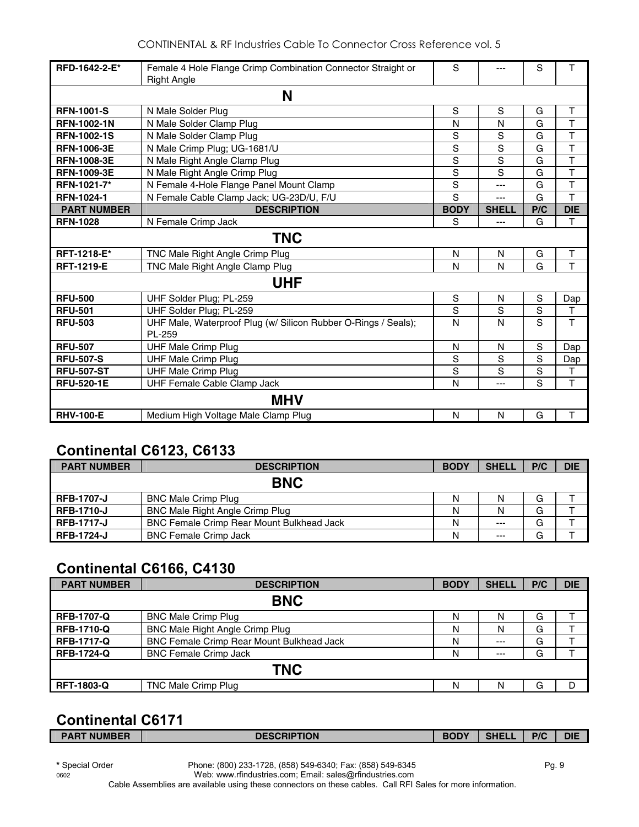| RFD-1642-2-E*      | Female 4 Hole Flange Crimp Combination Connector Straight or             | S             | ---            | S   |                         |  |  |
|--------------------|--------------------------------------------------------------------------|---------------|----------------|-----|-------------------------|--|--|
|                    | <b>Right Angle</b>                                                       |               |                |     |                         |  |  |
| N                  |                                                                          |               |                |     |                         |  |  |
| <b>RFN-1001-S</b>  | N Male Solder Plug                                                       | $\mathbf S$   | S              | G   | Τ                       |  |  |
| <b>RFN-1002-1N</b> | N Male Solder Clamp Plug                                                 | N             | N              | G   | $\overline{\mathsf{T}}$ |  |  |
| <b>RFN-1002-1S</b> | N Male Solder Clamp Plug                                                 | $\mathbf S$   | S              | G   | $\overline{\mathsf{T}}$ |  |  |
| <b>RFN-1006-3E</b> | N Male Crimp Plug; UG-1681/U                                             | S             | $\overline{s}$ | G   | $\overline{\mathsf{T}}$ |  |  |
| <b>RFN-1008-3E</b> | N Male Right Angle Clamp Plug                                            | $\mathbf S$   | S              | G   | T                       |  |  |
| <b>RFN-1009-3E</b> | N Male Right Angle Crimp Plug                                            | $\mathbf S$   | S              | G   | T                       |  |  |
| RFN-1021-7*        | N Female 4-Hole Flange Panel Mount Clamp                                 | $\mathbf S$   | ---            | G   | T                       |  |  |
| <b>RFN-1024-1</b>  | N Female Cable Clamp Jack; UG-23D/U, F/U                                 | S             | ---            | G   | $\mathsf{T}$            |  |  |
| <b>PART NUMBER</b> | <b>DESCRIPTION</b>                                                       | <b>BODY</b>   | <b>SHELL</b>   | P/C | <b>DIE</b>              |  |  |
| <b>RFN-1028</b>    | N Female Crimp Jack                                                      | S             | $---$          | G   | T                       |  |  |
| <b>TNC</b>         |                                                                          |               |                |     |                         |  |  |
| <b>RFT-1218-E*</b> | TNC Male Right Angle Crimp Plug                                          | N             | N              | G   | Τ                       |  |  |
| <b>RFT-1219-E</b>  | TNC Male Right Angle Clamp Plug                                          | N             | N              | G   | T                       |  |  |
|                    | <b>UHF</b>                                                               |               |                |     |                         |  |  |
| <b>RFU-500</b>     | UHF Solder Plug; PL-259                                                  | ${\mathsf S}$ | N              | S   | Dap                     |  |  |
| <b>RFU-501</b>     | UHF Solder Plug; PL-259                                                  | $\mathbf S$   | S              | S   | Т                       |  |  |
| <b>RFU-503</b>     | UHF Male, Waterproof Plug (w/ Silicon Rubber O-Rings / Seals);<br>PL-259 | N             | N              | S   | T                       |  |  |
| <b>RFU-507</b>     | <b>UHF Male Crimp Plug</b>                                               | N             | N              | S   | Dap                     |  |  |
| <b>RFU-507-S</b>   | <b>UHF Male Crimp Plug</b>                                               | S             | S              | S   | Dap                     |  |  |
| <b>RFU-507-ST</b>  | <b>UHF Male Crimp Plug</b>                                               | S             | S              | S   | $\mathsf{T}$            |  |  |
| <b>RFU-520-1E</b>  | <b>UHF Female Cable Clamp Jack</b>                                       | N             | ---            | S   | T                       |  |  |
| <b>MHV</b>         |                                                                          |               |                |     |                         |  |  |
| <b>RHV-100-E</b>   | $\mathsf T$<br>N<br>N<br>G<br>Medium High Voltage Male Clamp Plug        |               |                |     |                         |  |  |

# **Continental C6123, C6133**

| <b>PART NUMBER</b> | <b>DESCRIPTION</b>                               | <b>BODY</b> | <b>SHELL</b> | P/C | <b>DIE</b> |  |
|--------------------|--------------------------------------------------|-------------|--------------|-----|------------|--|
| <b>BNC</b>         |                                                  |             |              |     |            |  |
| <b>RFB-1707-J</b>  | <b>BNC Male Crimp Plug</b>                       | N           | N            | G   |            |  |
| <b>RFB-1710-J</b>  | <b>BNC Male Right Angle Crimp Plug</b>           | N           | N            | G   |            |  |
| <b>RFB-1717-J</b>  | <b>BNC Female Crimp Rear Mount Bulkhead Jack</b> | Ν           | $--$         | G   |            |  |
| <b>RFB-1724-J</b>  | <b>BNC Female Crimp Jack</b>                     | Ν           | $---$        | G   |            |  |

## **Continental C6166, C4130**

| <b>PART NUMBER</b> | <b>DESCRIPTION</b>                               | <b>BODY</b> | <b>SHELL</b> | P/C | <b>DIE</b> |  |
|--------------------|--------------------------------------------------|-------------|--------------|-----|------------|--|
| <b>BNC</b>         |                                                  |             |              |     |            |  |
| <b>RFB-1707-Q</b>  | <b>BNC Male Crimp Plug</b>                       | N           | N            | G   |            |  |
| <b>RFB-1710-Q</b>  | BNC Male Right Angle Crimp Plug                  | N           | N            | G   |            |  |
| <b>RFB-1717-Q</b>  | <b>BNC Female Crimp Rear Mount Bulkhead Jack</b> | N           | $---$        | G   |            |  |
| <b>RFB-1724-Q</b>  | <b>BNC Female Crimp Jack</b>                     | N           | $--$         | G   |            |  |
| <b>TNC</b>         |                                                  |             |              |     |            |  |
| <b>RFT-1803-Q</b>  | TNC Male Crimp Plug                              | N           | N            | G   | D          |  |

# **Continental C6171**

| <b>PART NUMBER</b> | <b>DESCRIPTION</b> | <b>BODY</b> | SHE <sup>'</sup> | P/C | <b>DIE</b> |
|--------------------|--------------------|-------------|------------------|-----|------------|
|                    |                    |             |                  |     |            |